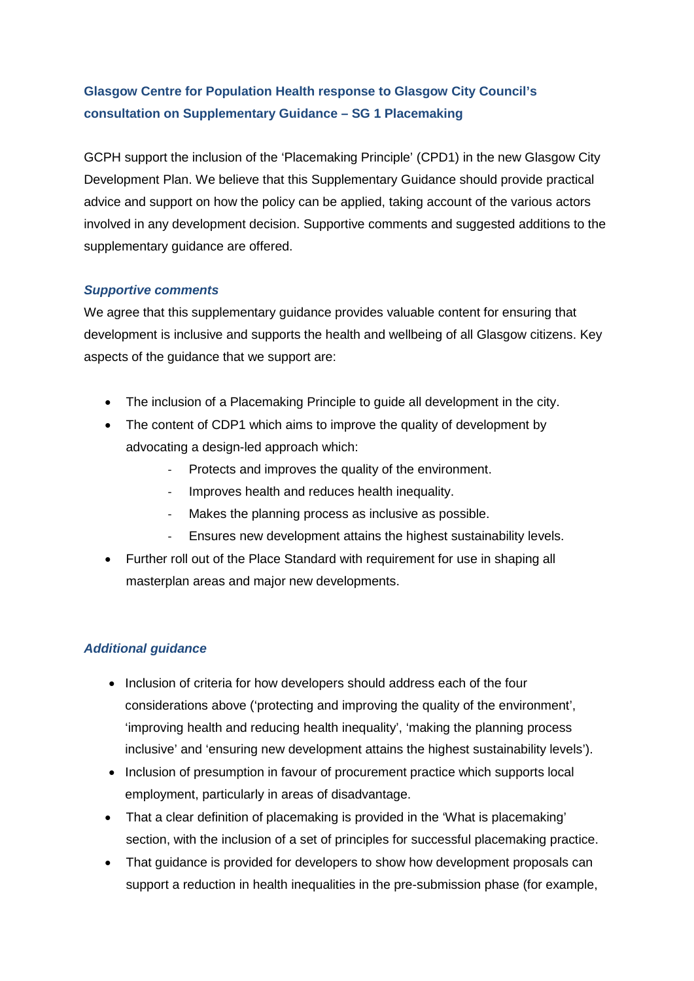## **Glasgow Centre for Population Health response to Glasgow City Council's consultation on Supplementary Guidance – SG 1 Placemaking**

GCPH support the inclusion of the 'Placemaking Principle' (CPD1) in the new Glasgow City Development Plan. We believe that this Supplementary Guidance should provide practical advice and support on how the policy can be applied, taking account of the various actors involved in any development decision. Supportive comments and suggested additions to the supplementary guidance are offered.

## *Supportive comments*

We agree that this supplementary guidance provides valuable content for ensuring that development is inclusive and supports the health and wellbeing of all Glasgow citizens. Key aspects of the guidance that we support are:

- The inclusion of a Placemaking Principle to guide all development in the city.
- The content of CDP1 which aims to improve the quality of development by advocating a design-led approach which:
	- Protects and improves the quality of the environment.
	- Improves health and reduces health inequality.
	- Makes the planning process as inclusive as possible.
	- Ensures new development attains the highest sustainability levels.
- Further roll out of the Place Standard with requirement for use in shaping all masterplan areas and major new developments.

## *Additional guidance*

- Inclusion of criteria for how developers should address each of the four considerations above ('protecting and improving the quality of the environment', 'improving health and reducing health inequality', 'making the planning process inclusive' and 'ensuring new development attains the highest sustainability levels').
- Inclusion of presumption in favour of procurement practice which supports local employment, particularly in areas of disadvantage.
- That a clear definition of placemaking is provided in the 'What is placemaking' section, with the inclusion of a set of principles for successful placemaking practice.
- That quidance is provided for developers to show how development proposals can support a reduction in health inequalities in the pre-submission phase (for example,